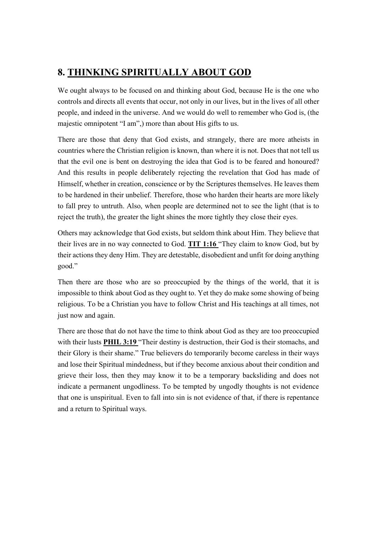## 8. THINKING SPIRITUALLY ABOUT GOD

We ought always to be focused on and thinking about God, because He is the one who controls and directs all events that occur, not only in our lives, but in the lives of all other people, and indeed in the universe. And we would do well to remember who God is, (the majestic omnipotent "I am",) more than about His gifts to us.

There are those that deny that God exists, and strangely, there are more atheists in countries where the Christian religion is known, than where it is not. Does that not tell us that the evil one is bent on destroying the idea that God is to be feared and honoured? And this results in people deliberately rejecting the revelation that God has made of Himself, whether in creation, conscience or by the Scriptures themselves. He leaves them to be hardened in their unbelief. Therefore, those who harden their hearts are more likely to fall prey to untruth. Also, when people are determined not to see the light (that is to reject the truth), the greater the light shines the more tightly they close their eyes.

Others may acknowledge that God exists, but seldom think about Him. They believe that their lives are in no way connected to God. TIT 1:16 "They claim to know God, but by their actions they deny Him. They are detestable, disobedient and unfit for doing anything good."

Then there are those who are so preoccupied by the things of the world, that it is impossible to think about God as they ought to. Yet they do make some showing of being religious. To be a Christian you have to follow Christ and His teachings at all times, not just now and again.

There are those that do not have the time to think about God as they are too preoccupied with their lusts PHIL 3:19 "Their destiny is destruction, their God is their stomachs, and their Glory is their shame." True believers do temporarily become careless in their ways and lose their Spiritual mindedness, but if they become anxious about their condition and grieve their loss, then they may know it to be a temporary backsliding and does not indicate a permanent ungodliness. To be tempted by ungodly thoughts is not evidence that one is unspiritual. Even to fall into sin is not evidence of that, if there is repentance and a return to Spiritual ways.